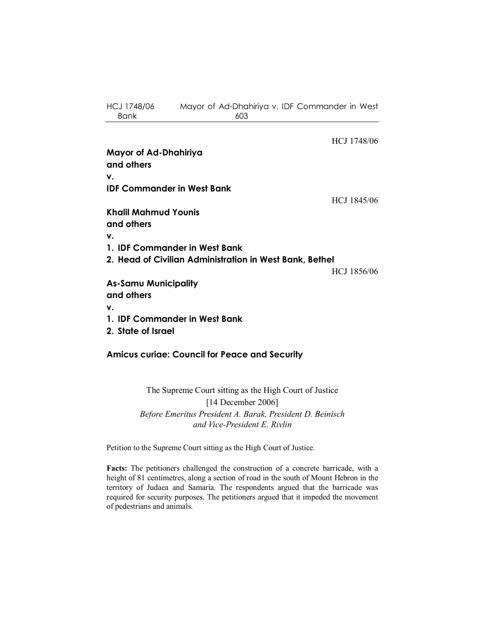HCJ 1748/06 Mayor of Ad-Dhahiriya v. IDF Commander in West Bank 603

HCJ 1748/06 **Mayor of Ad-Dhahiriya and others v. IDF Commander in West Bank**  HCJ 1845/06 **Khalil Mahmud Younis and others v. 1. IDF Commander in West Bank 2. Head of Civilian Administration in West Bank, Bethel**  HCJ 1856/06 **As-Samu Municipality and others v. 1. IDF Commander in West Bank 2. State of Israel** 

**Amicus curiae: Council for Peace and Security** 

The Supreme Court sitting as the High Court of Justice [14 December 2006] *Before Emeritus President A. Barak, President D. Beinisch and Vice-President E. Rivlin* 

Petition to the Supreme Court sitting as the High Court of Justice.

**Facts:** The petitioners challenged the construction of a concrete barricade, with a height of 81 centimetres, along a section of road in the south of Mount Hebron in the territory of Judaea and Samaria. The respondents argued that the barricade was required for security purposes. The petitioners argued that it impeded the movement of pedestrians and animals.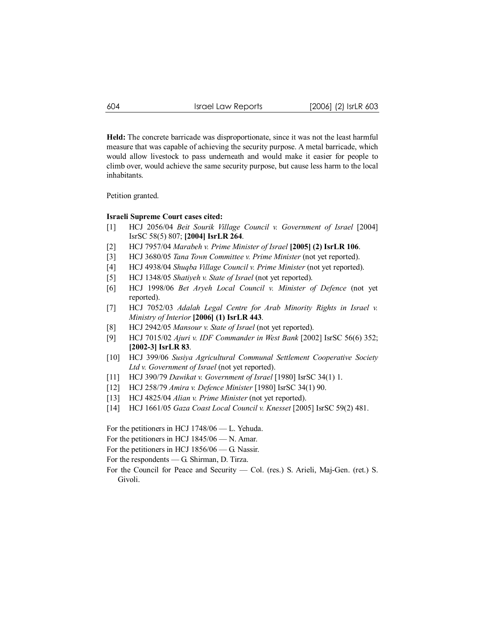**Held:** The concrete barricade was disproportionate, since it was not the least harmful measure that was capable of achieving the security purpose. A metal barricade, which would allow livestock to pass underneath and would make it easier for people to climb over, would achieve the same security purpose, but cause less harm to the local inhabitants.

Petition granted.

#### **Israeli Supreme Court cases cited:**

- [1] HCJ 2056/04 *Beit Sourik Village Council v. Government of Israel* [2004] IsrSC 58(5) 807; **[2004] IsrLR 264**.
- [2] HCJ 7957/04 *Marabeh v. Prime Minister of Israel* **[2005] (2) IsrLR 106**.
- [3] HCJ 3680/05 *Tana Town Committee v. Prime Minister* (not yet reported).
- [4] HCJ 4938/04 *Shuqba Village Council v. Prime Minister* (not yet reported).
- [5] HCJ 1348/05 *Shatiyeh v. State of Israel* (not yet reported).
- [6] HCJ 1998/06 *Bet Aryeh Local Council v. Minister of Defence* (not yet reported).
- [7] HCJ 7052/03 *Adalah Legal Centre for Arab Minority Rights in Israel v. Ministry of Interior* **[2006] (1) IsrLR 443**.
- [8] HCJ 2942/05 *Mansour v. State of Israel* (not yet reported).
- [9] HCJ 7015/02 *Ajuri v. IDF Commander in West Bank* [2002] IsrSC 56(6) 352; **[2002-3] IsrLR 83**.
- [10] HCJ 399/06 *Susiya Agricultural Communal Settlement Cooperative Society Ltd v. Government of Israel* (not yet reported).
- [11] HCJ 390/79 *Dawikat v. Government of Israel* [1980] IsrSC 34(1) 1.
- [12] HCJ 258/79 *Amira v. Defence Minister* [1980] IsrSC 34(1) 90.
- [13] HCJ 4825/04 *Alian v. Prime Minister* (not yet reported).
- [14] HCJ 1661/05 *Gaza Coast Local Council v. Knesset* [2005] IsrSC 59(2) 481.

For the petitioners in HCJ 1748/06 — L. Yehuda.

- For the petitioners in HCJ 1845/06 N. Amar.
- For the petitioners in HCJ 1856/06 G. Nassir.
- For the respondents G. Shirman, D. Tirza.
- For the Council for Peace and Security Col. (res.) S. Arieli, Maj-Gen. (ret.) S. Givoli.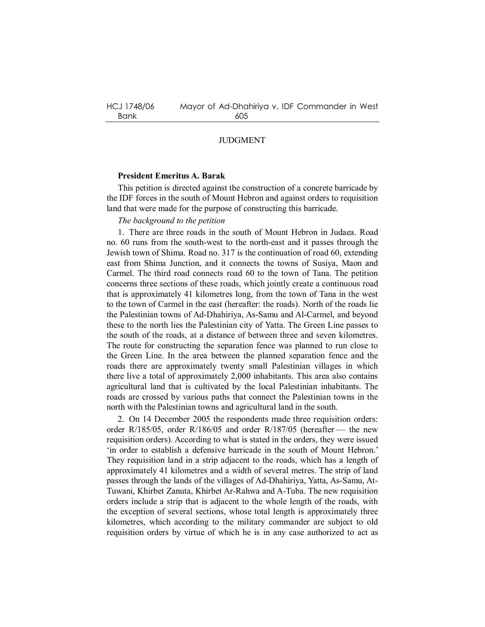## JUDGMENT

### **President Emeritus A. Barak**

This petition is directed against the construction of a concrete barricade by the IDF forces in the south of Mount Hebron and against orders to requisition land that were made for the purpose of constructing this barricade.

### *The background to the petition*

1. There are three roads in the south of Mount Hebron in Judaea. Road no. 60 runs from the south-west to the north-east and it passes through the Jewish town of Shima. Road no. 317 is the continuation of road 60, extending east from Shima Junction, and it connects the towns of Susiya, Maon and Carmel. The third road connects road 60 to the town of Tana. The petition concerns three sections of these roads, which jointly create a continuous road that is approximately 41 kilometres long, from the town of Tana in the west to the town of Carmel in the east (hereafter: the roads). North of the roads lie the Palestinian towns of Ad-Dhahiriya, As-Samu and Al-Carmel, and beyond these to the north lies the Palestinian city of Yatta. The Green Line passes to the south of the roads, at a distance of between three and seven kilometres. The route for constructing the separation fence was planned to run close to the Green Line. In the area between the planned separation fence and the roads there are approximately twenty small Palestinian villages in which there live a total of approximately 2,000 inhabitants. This area also contains agricultural land that is cultivated by the local Palestinian inhabitants. The roads are crossed by various paths that connect the Palestinian towns in the north with the Palestinian towns and agricultural land in the south.

2. On 14 December 2005 the respondents made three requisition orders: order R/185/05, order R/186/05 and order R/187/05 (hereafter — the new requisition orders). According to what is stated in the orders, they were issued 'in order to establish a defensive barricade in the south of Mount Hebron.' They requisition land in a strip adjacent to the roads, which has a length of approximately 41 kilometres and a width of several metres. The strip of land passes through the lands of the villages of Ad-Dhahiriya, Yatta, As-Samu, At-Tuwani, Khirbet Zanuta, Khirbet Ar-Rahwa and A-Tuba. The new requisition orders include a strip that is adjacent to the whole length of the roads, with the exception of several sections, whose total length is approximately three kilometres, which according to the military commander are subject to old requisition orders by virtue of which he is in any case authorized to act as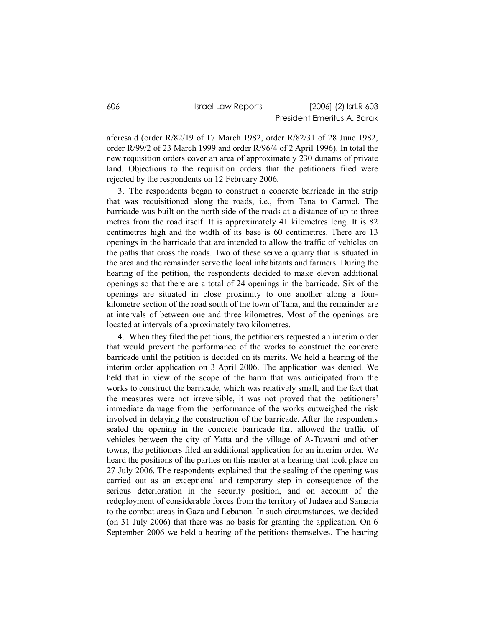aforesaid (order R/82/19 of 17 March 1982, order R/82/31 of 28 June 1982, order R/99/2 of 23 March 1999 and order R/96/4 of 2 April 1996). In total the new requisition orders cover an area of approximately 230 dunams of private land. Objections to the requisition orders that the petitioners filed were rejected by the respondents on 12 February 2006.

3. The respondents began to construct a concrete barricade in the strip that was requisitioned along the roads, i.e., from Tana to Carmel. The barricade was built on the north side of the roads at a distance of up to three metres from the road itself. It is approximately 41 kilometres long. It is 82 centimetres high and the width of its base is 60 centimetres. There are 13 openings in the barricade that are intended to allow the traffic of vehicles on the paths that cross the roads. Two of these serve a quarry that is situated in the area and the remainder serve the local inhabitants and farmers. During the hearing of the petition, the respondents decided to make eleven additional openings so that there are a total of 24 openings in the barricade. Six of the openings are situated in close proximity to one another along a fourkilometre section of the road south of the town of Tana, and the remainder are at intervals of between one and three kilometres. Most of the openings are located at intervals of approximately two kilometres.

4. When they filed the petitions, the petitioners requested an interim order that would prevent the performance of the works to construct the concrete barricade until the petition is decided on its merits. We held a hearing of the interim order application on 3 April 2006. The application was denied. We held that in view of the scope of the harm that was anticipated from the works to construct the barricade, which was relatively small, and the fact that the measures were not irreversible, it was not proved that the petitioners' immediate damage from the performance of the works outweighed the risk involved in delaying the construction of the barricade. After the respondents sealed the opening in the concrete barricade that allowed the traffic of vehicles between the city of Yatta and the village of A-Tuwani and other towns, the petitioners filed an additional application for an interim order. We heard the positions of the parties on this matter at a hearing that took place on 27 July 2006. The respondents explained that the sealing of the opening was carried out as an exceptional and temporary step in consequence of the serious deterioration in the security position, and on account of the redeployment of considerable forces from the territory of Judaea and Samaria to the combat areas in Gaza and Lebanon. In such circumstances, we decided (on 31 July 2006) that there was no basis for granting the application. On 6 September 2006 we held a hearing of the petitions themselves. The hearing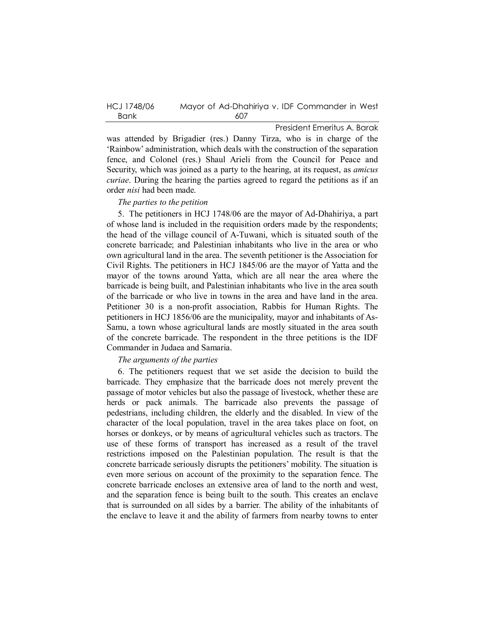| HCJ 1748/06 | Mayor of Ad-Dhahiriya v. IDF Commander in West |
|-------------|------------------------------------------------|
| Bank        | 607                                            |

was attended by Brigadier (res.) Danny Tirza, who is in charge of the 'Rainbow' administration, which deals with the construction of the separation fence, and Colonel (res.) Shaul Arieli from the Council for Peace and Security, which was joined as a party to the hearing, at its request, as *amicus curiae*. During the hearing the parties agreed to regard the petitions as if an order *nisi* had been made.

#### *The parties to the petition*

5. The petitioners in HCJ 1748/06 are the mayor of Ad-Dhahiriya, a part of whose land is included in the requisition orders made by the respondents; the head of the village council of A-Tuwani, which is situated south of the concrete barricade; and Palestinian inhabitants who live in the area or who own agricultural land in the area. The seventh petitioner is the Association for Civil Rights. The petitioners in HCJ 1845/06 are the mayor of Yatta and the mayor of the towns around Yatta, which are all near the area where the barricade is being built, and Palestinian inhabitants who live in the area south of the barricade or who live in towns in the area and have land in the area. Petitioner 30 is a non-profit association, Rabbis for Human Rights. The petitioners in HCJ 1856/06 are the municipality, mayor and inhabitants of As-Samu, a town whose agricultural lands are mostly situated in the area south of the concrete barricade. The respondent in the three petitions is the IDF Commander in Judaea and Samaria.

# *The arguments of the parties*

6. The petitioners request that we set aside the decision to build the barricade. They emphasize that the barricade does not merely prevent the passage of motor vehicles but also the passage of livestock, whether these are herds or pack animals. The barricade also prevents the passage of pedestrians, including children, the elderly and the disabled. In view of the character of the local population, travel in the area takes place on foot, on horses or donkeys, or by means of agricultural vehicles such as tractors. The use of these forms of transport has increased as a result of the travel restrictions imposed on the Palestinian population. The result is that the concrete barricade seriously disrupts the petitioners' mobility. The situation is even more serious on account of the proximity to the separation fence. The concrete barricade encloses an extensive area of land to the north and west, and the separation fence is being built to the south. This creates an enclave that is surrounded on all sides by a barrier. The ability of the inhabitants of the enclave to leave it and the ability of farmers from nearby towns to enter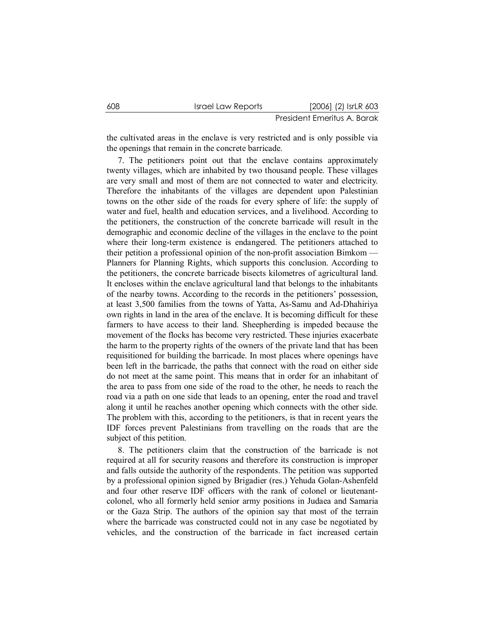the cultivated areas in the enclave is very restricted and is only possible via the openings that remain in the concrete barricade.

7. The petitioners point out that the enclave contains approximately twenty villages, which are inhabited by two thousand people. These villages are very small and most of them are not connected to water and electricity. Therefore the inhabitants of the villages are dependent upon Palestinian towns on the other side of the roads for every sphere of life: the supply of water and fuel, health and education services, and a livelihood. According to the petitioners, the construction of the concrete barricade will result in the demographic and economic decline of the villages in the enclave to the point where their long-term existence is endangered. The petitioners attached to their petition a professional opinion of the non-profit association Bimkom — Planners for Planning Rights, which supports this conclusion. According to the petitioners, the concrete barricade bisects kilometres of agricultural land. It encloses within the enclave agricultural land that belongs to the inhabitants of the nearby towns. According to the records in the petitioners' possession, at least 3,500 families from the towns of Yatta, As-Samu and Ad-Dhahiriya own rights in land in the area of the enclave. It is becoming difficult for these farmers to have access to their land. Sheepherding is impeded because the movement of the flocks has become very restricted. These injuries exacerbate the harm to the property rights of the owners of the private land that has been requisitioned for building the barricade. In most places where openings have been left in the barricade, the paths that connect with the road on either side do not meet at the same point. This means that in order for an inhabitant of the area to pass from one side of the road to the other, he needs to reach the road via a path on one side that leads to an opening, enter the road and travel along it until he reaches another opening which connects with the other side. The problem with this, according to the petitioners, is that in recent years the IDF forces prevent Palestinians from travelling on the roads that are the subject of this petition.

8. The petitioners claim that the construction of the barricade is not required at all for security reasons and therefore its construction is improper and falls outside the authority of the respondents. The petition was supported by a professional opinion signed by Brigadier (res.) Yehuda Golan-Ashenfeld and four other reserve IDF officers with the rank of colonel or lieutenantcolonel, who all formerly held senior army positions in Judaea and Samaria or the Gaza Strip. The authors of the opinion say that most of the terrain where the barricade was constructed could not in any case be negotiated by vehicles, and the construction of the barricade in fact increased certain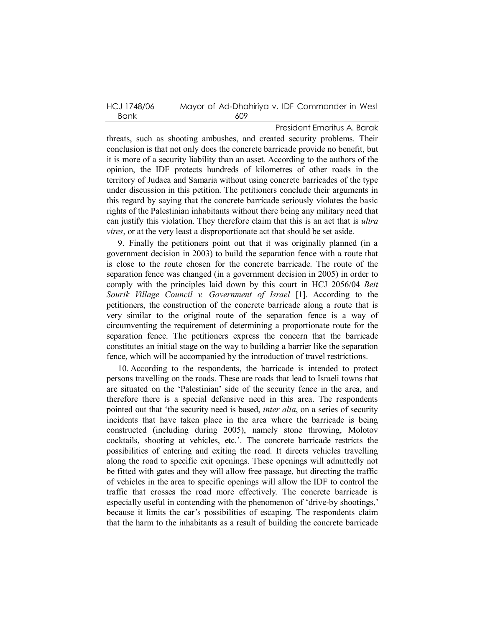| HCJ 1748/06 | Mayor of Ad-Dhahiriya v. IDF Commander in West |
|-------------|------------------------------------------------|
| Bank        | 609                                            |

threats, such as shooting ambushes, and created security problems. Their conclusion is that not only does the concrete barricade provide no benefit, but it is more of a security liability than an asset. According to the authors of the opinion, the IDF protects hundreds of kilometres of other roads in the territory of Judaea and Samaria without using concrete barricades of the type under discussion in this petition. The petitioners conclude their arguments in this regard by saying that the concrete barricade seriously violates the basic rights of the Palestinian inhabitants without there being any military need that can justify this violation. They therefore claim that this is an act that is *ultra vires*, or at the very least a disproportionate act that should be set aside.

9. Finally the petitioners point out that it was originally planned (in a government decision in 2003) to build the separation fence with a route that is close to the route chosen for the concrete barricade. The route of the separation fence was changed (in a government decision in 2005) in order to comply with the principles laid down by this court in HCJ 2056/04 *Beit Sourik Village Council v. Government of Israel* [1]. According to the petitioners, the construction of the concrete barricade along a route that is very similar to the original route of the separation fence is a way of circumventing the requirement of determining a proportionate route for the separation fence. The petitioners express the concern that the barricade constitutes an initial stage on the way to building a barrier like the separation fence, which will be accompanied by the introduction of travel restrictions.

10. According to the respondents, the barricade is intended to protect persons travelling on the roads. These are roads that lead to Israeli towns that are situated on the 'Palestinian' side of the security fence in the area, and therefore there is a special defensive need in this area. The respondents pointed out that 'the security need is based, *inter alia*, on a series of security incidents that have taken place in the area where the barricade is being constructed (including during 2005), namely stone throwing, Molotov cocktails, shooting at vehicles, etc.'. The concrete barricade restricts the possibilities of entering and exiting the road. It directs vehicles travelling along the road to specific exit openings. These openings will admittedly not be fitted with gates and they will allow free passage, but directing the traffic of vehicles in the area to specific openings will allow the IDF to control the traffic that crosses the road more effectively. The concrete barricade is especially useful in contending with the phenomenon of 'drive-by shootings,' because it limits the car's possibilities of escaping. The respondents claim that the harm to the inhabitants as a result of building the concrete barricade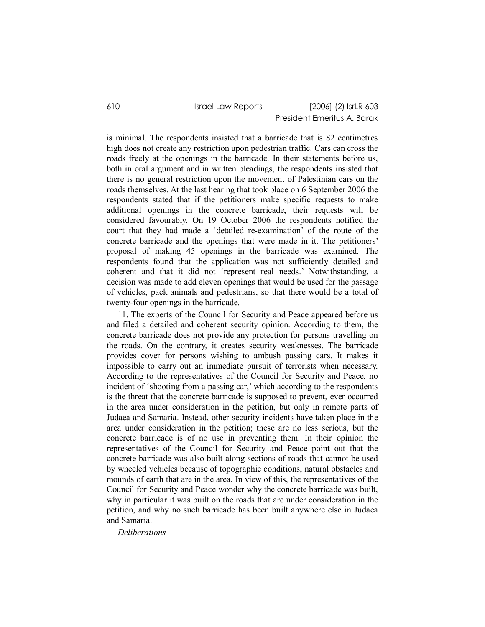is minimal. The respondents insisted that a barricade that is 82 centimetres high does not create any restriction upon pedestrian traffic. Cars can cross the roads freely at the openings in the barricade. In their statements before us, both in oral argument and in written pleadings, the respondents insisted that there is no general restriction upon the movement of Palestinian cars on the roads themselves. At the last hearing that took place on 6 September 2006 the respondents stated that if the petitioners make specific requests to make additional openings in the concrete barricade, their requests will be considered favourably. On 19 October 2006 the respondents notified the court that they had made a 'detailed re-examination' of the route of the concrete barricade and the openings that were made in it. The petitioners' proposal of making 45 openings in the barricade was examined. The respondents found that the application was not sufficiently detailed and coherent and that it did not 'represent real needs.' Notwithstanding, a decision was made to add eleven openings that would be used for the passage of vehicles, pack animals and pedestrians, so that there would be a total of twenty-four openings in the barricade.

11. The experts of the Council for Security and Peace appeared before us and filed a detailed and coherent security opinion. According to them, the concrete barricade does not provide any protection for persons travelling on the roads. On the contrary, it creates security weaknesses. The barricade provides cover for persons wishing to ambush passing cars. It makes it impossible to carry out an immediate pursuit of terrorists when necessary. According to the representatives of the Council for Security and Peace, no incident of 'shooting from a passing car,' which according to the respondents is the threat that the concrete barricade is supposed to prevent, ever occurred in the area under consideration in the petition, but only in remote parts of Judaea and Samaria. Instead, other security incidents have taken place in the area under consideration in the petition; these are no less serious, but the concrete barricade is of no use in preventing them. In their opinion the representatives of the Council for Security and Peace point out that the concrete barricade was also built along sections of roads that cannot be used by wheeled vehicles because of topographic conditions, natural obstacles and mounds of earth that are in the area. In view of this, the representatives of the Council for Security and Peace wonder why the concrete barricade was built, why in particular it was built on the roads that are under consideration in the petition, and why no such barricade has been built anywhere else in Judaea and Samaria.

*Deliberations*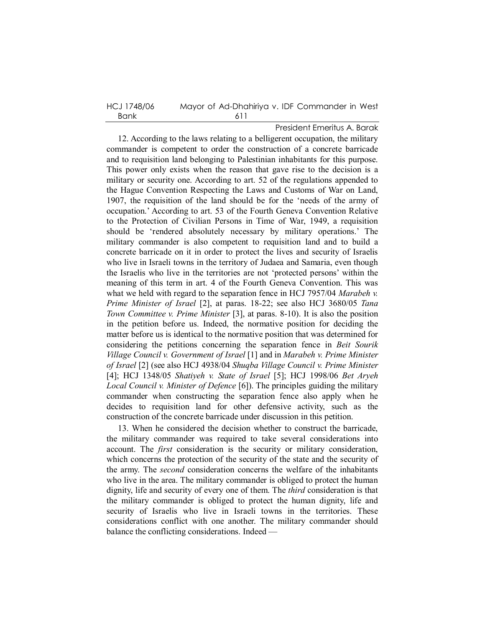| HCJ 1748/06 | Mayor of Ad-Dhahiriya v. IDF Commander in West |
|-------------|------------------------------------------------|
| Bank        | -611                                           |

President Emeritus A. Barak 12. According to the laws relating to a belligerent occupation, the military commander is competent to order the construction of a concrete barricade and to requisition land belonging to Palestinian inhabitants for this purpose. This power only exists when the reason that gave rise to the decision is a military or security one. According to art. 52 of the regulations appended to the Hague Convention Respecting the Laws and Customs of War on Land, 1907, the requisition of the land should be for the 'needs of the army of occupation.' According to art. 53 of the Fourth Geneva Convention Relative to the Protection of Civilian Persons in Time of War, 1949, a requisition should be 'rendered absolutely necessary by military operations.' The military commander is also competent to requisition land and to build a concrete barricade on it in order to protect the lives and security of Israelis who live in Israeli towns in the territory of Judaea and Samaria, even though the Israelis who live in the territories are not 'protected persons' within the meaning of this term in art. 4 of the Fourth Geneva Convention. This was what we held with regard to the separation fence in HCJ 7957/04 *Marabeh v. Prime Minister of Israel* [2], at paras. 18-22; see also HCJ 3680/05 *Tana Town Committee v. Prime Minister* [3], at paras. 8-10). It is also the position in the petition before us. Indeed, the normative position for deciding the matter before us is identical to the normative position that was determined for considering the petitions concerning the separation fence in *Beit Sourik Village Council v. Government of Israel* [1] and in *Marabeh v. Prime Minister of Israel* [2] (see also HCJ 4938/04 *Shuqba Village Council v. Prime Minister* [4]; HCJ 1348/05 *Shatiyeh v. State of Israel* [5]; HCJ 1998/06 *Bet Aryeh Local Council v. Minister of Defence* [6]). The principles guiding the military commander when constructing the separation fence also apply when he decides to requisition land for other defensive activity, such as the construction of the concrete barricade under discussion in this petition.

13. When he considered the decision whether to construct the barricade, the military commander was required to take several considerations into account. The *first* consideration is the security or military consideration, which concerns the protection of the security of the state and the security of the army. The *second* consideration concerns the welfare of the inhabitants who live in the area. The military commander is obliged to protect the human dignity, life and security of every one of them. The *third* consideration is that the military commander is obliged to protect the human dignity, life and security of Israelis who live in Israeli towns in the territories. These considerations conflict with one another. The military commander should balance the conflicting considerations. Indeed —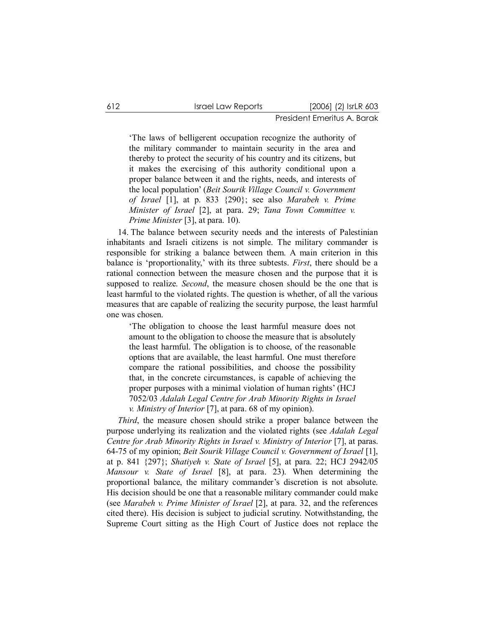'The laws of belligerent occupation recognize the authority of the military commander to maintain security in the area and thereby to protect the security of his country and its citizens, but it makes the exercising of this authority conditional upon a proper balance between it and the rights, needs, and interests of the local population' (*Beit Sourik Village Council v. Government of Israel* [1], at p. 833 {290}; see also *Marabeh v. Prime Minister of Israel* [2], at para. 29; *Tana Town Committee v. Prime Minister* [3], at para. 10).

14. The balance between security needs and the interests of Palestinian inhabitants and Israeli citizens is not simple. The military commander is responsible for striking a balance between them. A main criterion in this balance is 'proportionality,' with its three subtests. *First*, there should be a rational connection between the measure chosen and the purpose that it is supposed to realize. *Second*, the measure chosen should be the one that is least harmful to the violated rights. The question is whether, of all the various measures that are capable of realizing the security purpose, the least harmful one was chosen.

'The obligation to choose the least harmful measure does not amount to the obligation to choose the measure that is absolutely the least harmful. The obligation is to choose, of the reasonable options that are available, the least harmful. One must therefore compare the rational possibilities, and choose the possibility that, in the concrete circumstances, is capable of achieving the proper purposes with a minimal violation of human rights' (HCJ 7052/03 *Adalah Legal Centre for Arab Minority Rights in Israel v. Ministry of Interior* [7], at para. 68 of my opinion).

*Third*, the measure chosen should strike a proper balance between the purpose underlying its realization and the violated rights (see *Adalah Legal Centre for Arab Minority Rights in Israel v. Ministry of Interior* [7], at paras. 64-75 of my opinion; *Beit Sourik Village Council v. Government of Israel* [1], at p. 841 {297}; *Shatiyeh v. State of Israel* [5], at para. 22; HCJ 2942/05 *Mansour v. State of Israel* [8], at para. 23). When determining the proportional balance, the military commander's discretion is not absolute. His decision should be one that a reasonable military commander could make (see *Marabeh v. Prime Minister of Israel* [2], at para. 32, and the references cited there). His decision is subject to judicial scrutiny. Notwithstanding, the Supreme Court sitting as the High Court of Justice does not replace the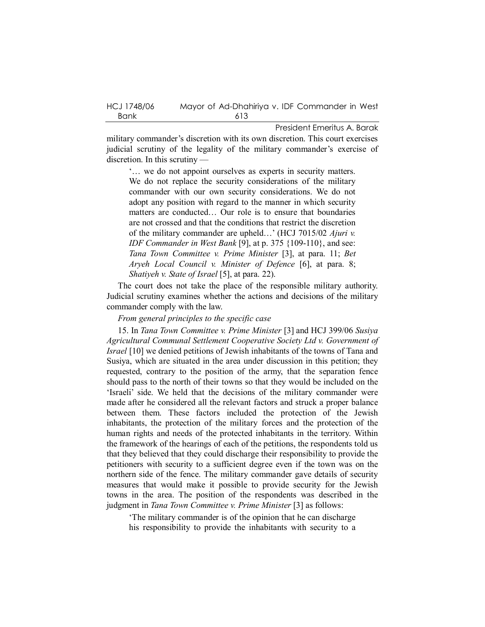| HCJ 1748/06 | Mayor of Ad-Dhahiriya v. IDF Commander in West |
|-------------|------------------------------------------------|
| Bank        | 613                                            |

military commander's discretion with its own discretion. This court exercises judicial scrutiny of the legality of the military commander's exercise of discretion. In this scrutiny —

'… we do not appoint ourselves as experts in security matters. We do not replace the security considerations of the military commander with our own security considerations. We do not adopt any position with regard to the manner in which security matters are conducted… Our role is to ensure that boundaries are not crossed and that the conditions that restrict the discretion of the military commander are upheld…' (HCJ 7015/02 *Ajuri v. IDF Commander in West Bank* [9], at p. 375 {109-110}, and see: *Tana Town Committee v. Prime Minister* [3], at para. 11; *Bet Aryeh Local Council v. Minister of Defence* [6], at para. 8; *Shatiyeh v. State of Israel* [5], at para. 22).

The court does not take the place of the responsible military authority. Judicial scrutiny examines whether the actions and decisions of the military commander comply with the law.

### *From general principles to the specific case*

15. In *Tana Town Committee v. Prime Minister* [3] and HCJ 399/06 *Susiya Agricultural Communal Settlement Cooperative Society Ltd v. Government of Israel* [10] we denied petitions of Jewish inhabitants of the towns of Tana and Susiya, which are situated in the area under discussion in this petition; they requested, contrary to the position of the army, that the separation fence should pass to the north of their towns so that they would be included on the 'Israeli' side. We held that the decisions of the military commander were made after he considered all the relevant factors and struck a proper balance between them. These factors included the protection of the Jewish inhabitants, the protection of the military forces and the protection of the human rights and needs of the protected inhabitants in the territory. Within the framework of the hearings of each of the petitions, the respondents told us that they believed that they could discharge their responsibility to provide the petitioners with security to a sufficient degree even if the town was on the northern side of the fence. The military commander gave details of security measures that would make it possible to provide security for the Jewish towns in the area. The position of the respondents was described in the judgment in *Tana Town Committee v. Prime Minister* [3] as follows:

'The military commander is of the opinion that he can discharge his responsibility to provide the inhabitants with security to a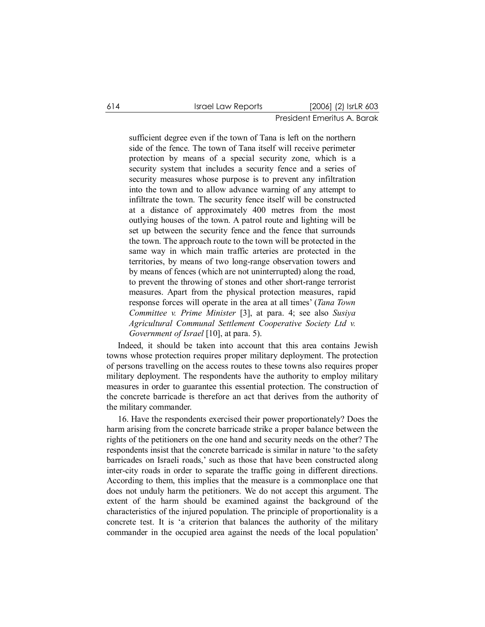sufficient degree even if the town of Tana is left on the northern side of the fence. The town of Tana itself will receive perimeter protection by means of a special security zone, which is a security system that includes a security fence and a series of security measures whose purpose is to prevent any infiltration into the town and to allow advance warning of any attempt to infiltrate the town. The security fence itself will be constructed at a distance of approximately 400 metres from the most outlying houses of the town. A patrol route and lighting will be set up between the security fence and the fence that surrounds the town. The approach route to the town will be protected in the same way in which main traffic arteries are protected in the territories, by means of two long-range observation towers and by means of fences (which are not uninterrupted) along the road, to prevent the throwing of stones and other short-range terrorist measures. Apart from the physical protection measures, rapid response forces will operate in the area at all times' (*Tana Town Committee v. Prime Minister* [3], at para. 4; see also *Susiya Agricultural Communal Settlement Cooperative Society Ltd v. Government of Israel* [10], at para. 5).

Indeed, it should be taken into account that this area contains Jewish towns whose protection requires proper military deployment. The protection of persons travelling on the access routes to these towns also requires proper military deployment. The respondents have the authority to employ military measures in order to guarantee this essential protection. The construction of the concrete barricade is therefore an act that derives from the authority of the military commander.

16. Have the respondents exercised their power proportionately? Does the harm arising from the concrete barricade strike a proper balance between the rights of the petitioners on the one hand and security needs on the other? The respondents insist that the concrete barricade is similar in nature 'to the safety barricades on Israeli roads,' such as those that have been constructed along inter-city roads in order to separate the traffic going in different directions. According to them, this implies that the measure is a commonplace one that does not unduly harm the petitioners. We do not accept this argument. The extent of the harm should be examined against the background of the characteristics of the injured population. The principle of proportionality is a concrete test. It is 'a criterion that balances the authority of the military commander in the occupied area against the needs of the local population'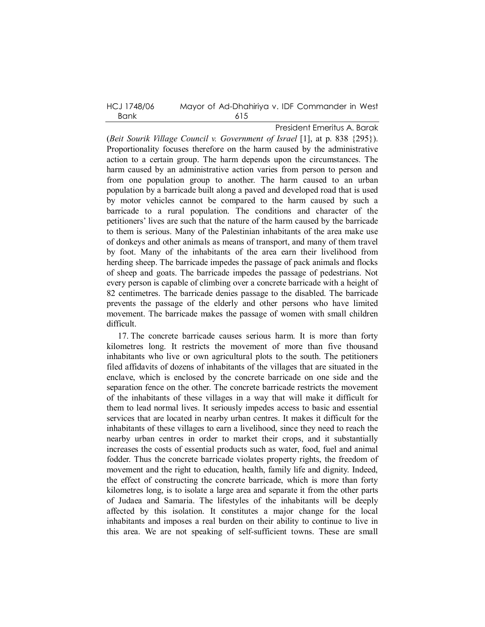HCJ 1748/06 Mayor of Ad-Dhahiriya v. IDF Commander in West Bank 615

President Emeritus A. Barak

(*Beit Sourik Village Council v. Government of Israel* [1], at p. 838 {295}). Proportionality focuses therefore on the harm caused by the administrative action to a certain group. The harm depends upon the circumstances. The harm caused by an administrative action varies from person to person and from one population group to another. The harm caused to an urban population by a barricade built along a paved and developed road that is used by motor vehicles cannot be compared to the harm caused by such a barricade to a rural population. The conditions and character of the petitioners' lives are such that the nature of the harm caused by the barricade to them is serious. Many of the Palestinian inhabitants of the area make use of donkeys and other animals as means of transport, and many of them travel by foot. Many of the inhabitants of the area earn their livelihood from herding sheep. The barricade impedes the passage of pack animals and flocks of sheep and goats. The barricade impedes the passage of pedestrians. Not every person is capable of climbing over a concrete barricade with a height of 82 centimetres. The barricade denies passage to the disabled. The barricade prevents the passage of the elderly and other persons who have limited movement. The barricade makes the passage of women with small children difficult.

17. The concrete barricade causes serious harm. It is more than forty kilometres long. It restricts the movement of more than five thousand inhabitants who live or own agricultural plots to the south. The petitioners filed affidavits of dozens of inhabitants of the villages that are situated in the enclave, which is enclosed by the concrete barricade on one side and the separation fence on the other. The concrete barricade restricts the movement of the inhabitants of these villages in a way that will make it difficult for them to lead normal lives. It seriously impedes access to basic and essential services that are located in nearby urban centres. It makes it difficult for the inhabitants of these villages to earn a livelihood, since they need to reach the nearby urban centres in order to market their crops, and it substantially increases the costs of essential products such as water, food, fuel and animal fodder. Thus the concrete barricade violates property rights, the freedom of movement and the right to education, health, family life and dignity. Indeed, the effect of constructing the concrete barricade, which is more than forty kilometres long, is to isolate a large area and separate it from the other parts of Judaea and Samaria. The lifestyles of the inhabitants will be deeply affected by this isolation. It constitutes a major change for the local inhabitants and imposes a real burden on their ability to continue to live in this area. We are not speaking of self-sufficient towns. These are small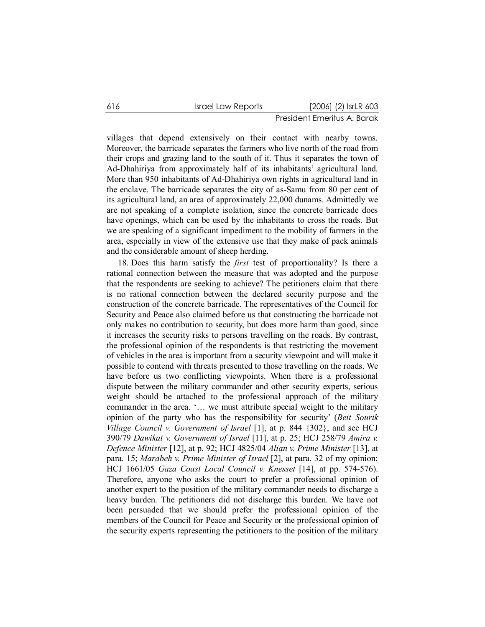villages that depend extensively on their contact with nearby towns. Moreover, the barricade separates the farmers who live north of the road from their crops and grazing land to the south of it. Thus it separates the town of Ad-Dhahiriya from approximately half of its inhabitants' agricultural land. More than 950 inhabitants of Ad-Dhahiriya own rights in agricultural land in the enclave. The barricade separates the city of as-Samu from 80 per cent of its agricultural land, an area of approximately 22,000 dunams. Admittedly we are not speaking of a complete isolation, since the concrete barricade does have openings, which can be used by the inhabitants to cross the roads. But we are speaking of a significant impediment to the mobility of farmers in the area, especially in view of the extensive use that they make of pack animals and the considerable amount of sheep herding.

18. Does this harm satisfy the *first* test of proportionality? Is there a rational connection between the measure that was adopted and the purpose that the respondents are seeking to achieve? The petitioners claim that there is no rational connection between the declared security purpose and the construction of the concrete barricade. The representatives of the Council for Security and Peace also claimed before us that constructing the barricade not only makes no contribution to security, but does more harm than good, since it increases the security risks to persons travelling on the roads. By contrast, the professional opinion of the respondents is that restricting the movement of vehicles in the area is important from a security viewpoint and will make it possible to contend with threats presented to those travelling on the roads. We have before us two conflicting viewpoints. When there is a professional dispute between the military commander and other security experts, serious weight should be attached to the professional approach of the military commander in the area. '… we must attribute special weight to the military opinion of the party who has the responsibility for security' (*Beit Sourik Village Council v. Government of Israel* [1], at p. 844 {302}, and see HCJ 390/79 *Dawikat v. Government of Israel* [11], at p. 25; HCJ 258/79 *Amira v. Defence Minister* [12], at p. 92; HCJ 4825/04 *Alian v. Prime Minister* [13], at para. 15; *Marabeh v. Prime Minister of Israel* [2], at para. 32 of my opinion; HCJ 1661/05 *Gaza Coast Local Council v. Knesset* [14], at pp. 574-576). Therefore, anyone who asks the court to prefer a professional opinion of another expert to the position of the military commander needs to discharge a heavy burden. The petitioners did not discharge this burden. We have not been persuaded that we should prefer the professional opinion of the members of the Council for Peace and Security or the professional opinion of the security experts representing the petitioners to the position of the military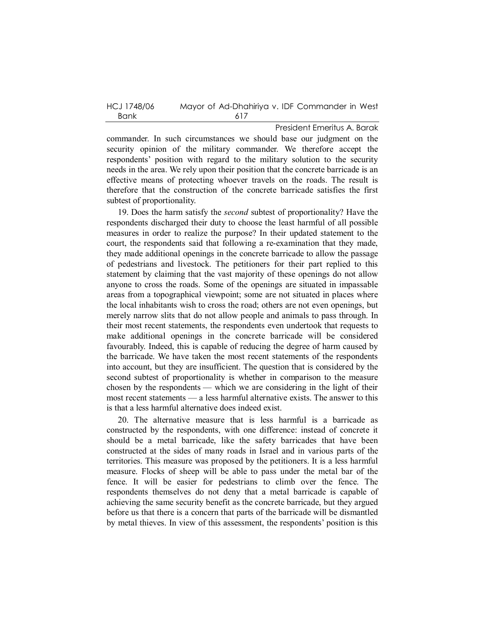| HCJ 1748/06 | Mayor of Ad-Dhahiriya v. IDF Commander in West |
|-------------|------------------------------------------------|
| Bank        | 617                                            |

President Emeritus A. Barak commander. In such circumstances we should base our judgment on the security opinion of the military commander. We therefore accept the respondents' position with regard to the military solution to the security needs in the area. We rely upon their position that the concrete barricade is an effective means of protecting whoever travels on the roads. The result is therefore that the construction of the concrete barricade satisfies the first subtest of proportionality.

19. Does the harm satisfy the *second* subtest of proportionality? Have the respondents discharged their duty to choose the least harmful of all possible measures in order to realize the purpose? In their updated statement to the court, the respondents said that following a re-examination that they made, they made additional openings in the concrete barricade to allow the passage of pedestrians and livestock. The petitioners for their part replied to this statement by claiming that the vast majority of these openings do not allow anyone to cross the roads. Some of the openings are situated in impassable areas from a topographical viewpoint; some are not situated in places where the local inhabitants wish to cross the road; others are not even openings, but merely narrow slits that do not allow people and animals to pass through. In their most recent statements, the respondents even undertook that requests to make additional openings in the concrete barricade will be considered favourably. Indeed, this is capable of reducing the degree of harm caused by the barricade. We have taken the most recent statements of the respondents into account, but they are insufficient. The question that is considered by the second subtest of proportionality is whether in comparison to the measure chosen by the respondents — which we are considering in the light of their most recent statements — a less harmful alternative exists. The answer to this is that a less harmful alternative does indeed exist.

20. The alternative measure that is less harmful is a barricade as constructed by the respondents, with one difference: instead of concrete it should be a metal barricade, like the safety barricades that have been constructed at the sides of many roads in Israel and in various parts of the territories. This measure was proposed by the petitioners. It is a less harmful measure. Flocks of sheep will be able to pass under the metal bar of the fence. It will be easier for pedestrians to climb over the fence. The respondents themselves do not deny that a metal barricade is capable of achieving the same security benefit as the concrete barricade, but they argued before us that there is a concern that parts of the barricade will be dismantled by metal thieves. In view of this assessment, the respondents' position is this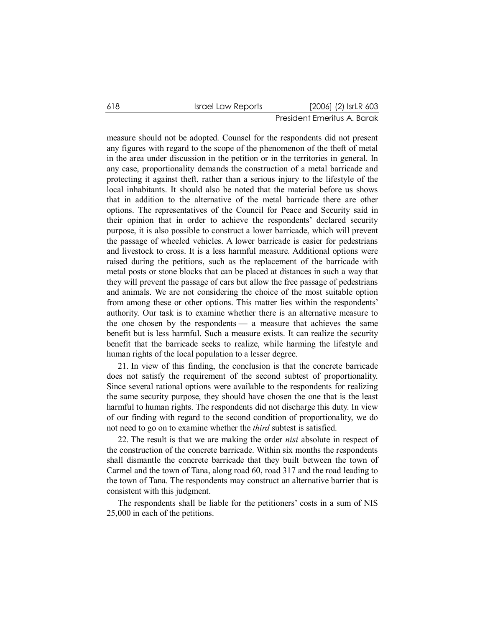measure should not be adopted. Counsel for the respondents did not present any figures with regard to the scope of the phenomenon of the theft of metal in the area under discussion in the petition or in the territories in general. In any case, proportionality demands the construction of a metal barricade and protecting it against theft, rather than a serious injury to the lifestyle of the local inhabitants. It should also be noted that the material before us shows that in addition to the alternative of the metal barricade there are other options. The representatives of the Council for Peace and Security said in their opinion that in order to achieve the respondents' declared security purpose, it is also possible to construct a lower barricade, which will prevent the passage of wheeled vehicles. A lower barricade is easier for pedestrians and livestock to cross. It is a less harmful measure. Additional options were raised during the petitions, such as the replacement of the barricade with metal posts or stone blocks that can be placed at distances in such a way that they will prevent the passage of cars but allow the free passage of pedestrians and animals. We are not considering the choice of the most suitable option from among these or other options. This matter lies within the respondents' authority. Our task is to examine whether there is an alternative measure to the one chosen by the respondents — a measure that achieves the same benefit but is less harmful. Such a measure exists. It can realize the security benefit that the barricade seeks to realize, while harming the lifestyle and human rights of the local population to a lesser degree.

21. In view of this finding, the conclusion is that the concrete barricade does not satisfy the requirement of the second subtest of proportionality. Since several rational options were available to the respondents for realizing the same security purpose, they should have chosen the one that is the least harmful to human rights. The respondents did not discharge this duty. In view of our finding with regard to the second condition of proportionality, we do not need to go on to examine whether the *third* subtest is satisfied.

22. The result is that we are making the order *nisi* absolute in respect of the construction of the concrete barricade. Within six months the respondents shall dismantle the concrete barricade that they built between the town of Carmel and the town of Tana, along road 60, road 317 and the road leading to the town of Tana. The respondents may construct an alternative barrier that is consistent with this judgment.

The respondents shall be liable for the petitioners' costs in a sum of NIS 25,000 in each of the petitions.